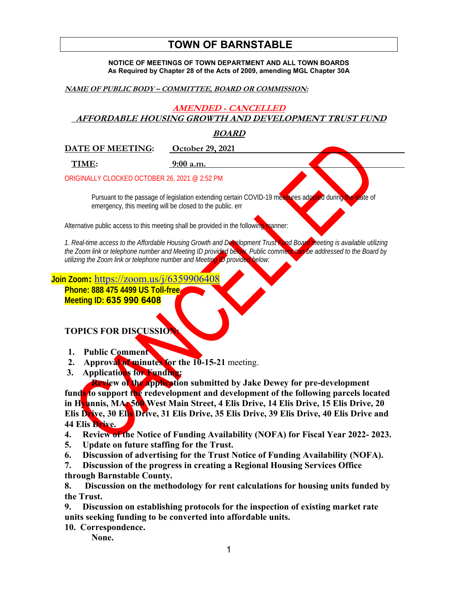# **TOWN OF BARNSTABLE**

**NOTICE OF MEETINGS OF TOWN DEPARTMENT AND ALL TOWN BOARDS As Required by Chapter 28 of the Acts of 2009, amending MGL Chapter 30A** 

**NAME OF PUBLIC BODY – COMMITTEE, BOARD OR COMMISSION:** 

# **AMENDED - CANCELLED**

 **AFFORDABLE HOUSING GROWTH AND DEVELOPMENT TRUST FUND** 

## **BOARD**

**DATE OF MEETING: October 29, 2021** 

 **TIME: 9:00 a.m.** 

ORIGINALLY CLOCKED OCTOBER 26, 2021 @ 2:52 PM

Pursuant to the passage of legislation extending certain COVID-19 measures adopted during the state of emergency, this meeting will be closed to the public. err

Alternative public access to this meeting shall be provided in the following manner:

*1. Real-time access to the Affordable Housing Growth and Development Trust Fund Board meeting is available utilizing the Zoom link or telephone number and Meeting ID provided below. Public comment can be addressed to the Board by utilizing the Zoom link or telephone number and Meeting ID provided below:* 

**Join Zoom:** https://zoom.us/j/6359906408

**Phone: 888 475 4499 US Toll-free Meeting ID: 635 990 6408**

**TOPICS FOR DISCUSSION:** 

- **1. Public Comment**
- **2. Approval of minutes for the 10-15-21** meeting.
- **3. Applications for Funding:**

 **Review of the application submitted by Jake Dewey for pre-development funds to support the redevelopment and development of the following parcels located in Hyannis, MA: 560 West Main Street, 4 Elis Drive, 14 Elis Drive, 15 Elis Drive, 20 Elis Drive, 30 Elis Drive, 31 Elis Drive, 35 Elis Drive, 39 Elis Drive, 40 Elis Drive and 44 Elis Drive.** 

**4. Review of the Notice of Funding Availability (NOFA) for Fiscal Year 2022- 2023.** 

- **5. Update on future staffing for the Trust.**
- **6. Discussion of advertising for the Trust Notice of Funding Availability (NOFA).**

**7. Discussion of the progress in creating a Regional Housing Services Office through Barnstable County.** 

**8. Discussion on the methodology for rent calculations for housing units funded by the Trust.** 

**9. Discussion on establishing protocols for the inspection of existing market rate units seeking funding to be converted into affordable units.** 

**10. Correspondence.** 

**None.**